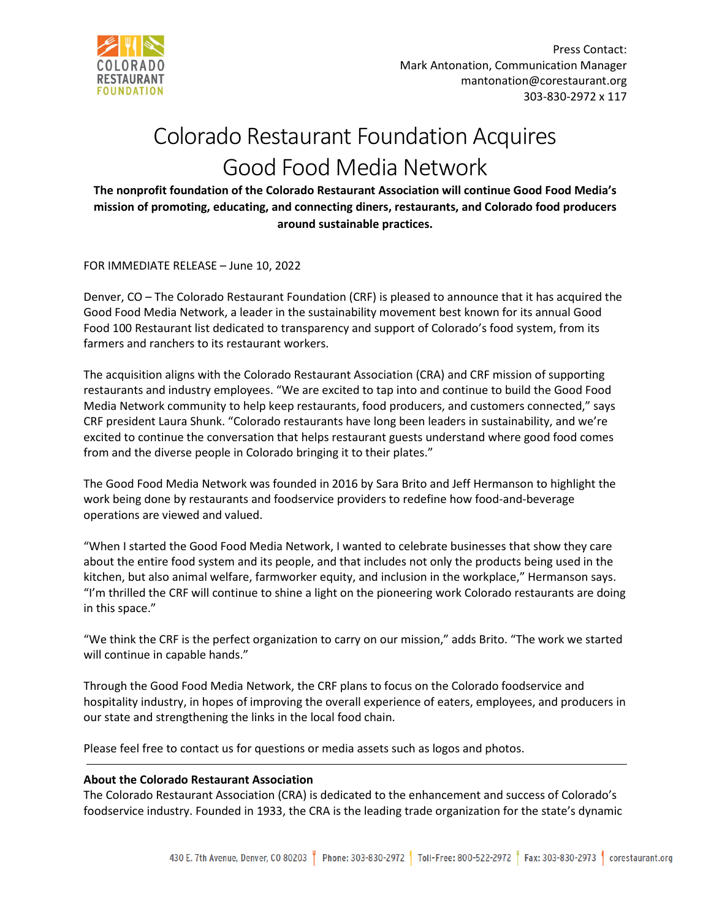

## Colorado Restaurant Foundation Acquires Good Food Media Network

**The nonprofit foundation of the Colorado Restaurant Association will continue Good Food Media's mission of promoting, educating, and connecting diners, restaurants, and Colorado food producers around sustainable practices.**

FOR IMMEDIATE RELEASE – June 10, 2022

Denver, CO – The Colorado Restaurant Foundation (CRF) is pleased to announce that it has acquired the Good Food Media Network, a leader in the sustainability movement best known for its annual Good Food 100 Restaurant list dedicated to transparency and support of Colorado's food system, from its farmers and ranchers to its restaurant workers.

The acquisition aligns with the Colorado Restaurant Association (CRA) and CRF mission of supporting restaurants and industry employees. "We are excited to tap into and continue to build the Good Food Media Network community to help keep restaurants, food producers, and customers connected," says CRF president Laura Shunk. "Colorado restaurants have long been leaders in sustainability, and we're excited to continue the conversation that helps restaurant guests understand where good food comes from and the diverse people in Colorado bringing it to their plates."

The Good Food Media Network was founded in 2016 by Sara Brito and Jeff Hermanson to highlight the work being done by restaurants and foodservice providers to redefine how food-and-beverage operations are viewed and valued.

"When I started the Good Food Media Network, I wanted to celebrate businesses that show they care about the entire food system and its people, and that includes not only the products being used in the kitchen, but also animal welfare, farmworker equity, and inclusion in the workplace," Hermanson says. "I'm thrilled the CRF will continue to shine a light on the pioneering work Colorado restaurants are doing in this space."

"We think the CRF is the perfect organization to carry on our mission," adds Brito. "The work we started will continue in capable hands."

Through the Good Food Media Network, the CRF plans to focus on the Colorado foodservice and hospitality industry, in hopes of improving the overall experience of eaters, employees, and producers in our state and strengthening the links in the local food chain.

Please feel free to contact us for questions or media assets such as logos and photos.

## **About the Colorado Restaurant Association**

The Colorado Restaurant Association (CRA) is dedicated to the enhancement and success of Colorado's foodservice industry. Founded in 1933, the CRA is the leading trade organization for the state's dynamic